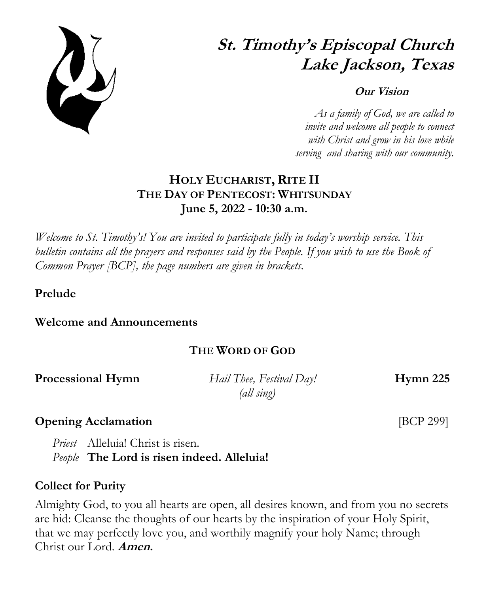

# **St. Timothy's Episcopal Church Lake Jackson, Texas**

#### **Our Vision**

 *As a family of God, we are called to invite and welcome all people to connect with Christ and grow in his love while serving and sharing with our community.*

## **HOLY EUCHARIST, RITE II THE DAY OF PENTECOST: WHITSUNDAY June 5, 2022 - 10:30 a.m.**

*Welcome to St. Timothy's! You are invited to participate fully in today's worship service. This bulletin contains all the prayers and responses said by the People. If you wish to use the Book of Common Prayer [BCP], the page numbers are given in brackets.*

**Prelude**

**Welcome and Announcements** 

## **THE WORD OF GOD**

**Processional Hymn** *Hail Thee, Festival Day!* **Hymn 225** 

 *(all sing)*

## **Opening Acclamation** [BCP 299]

*Priest* Alleluia! Christ is risen. *People* **The Lord is risen indeed. Alleluia!**

## **Collect for Purity**

Almighty God, to you all hearts are open, all desires known, and from you no secrets are hid: Cleanse the thoughts of our hearts by the inspiration of your Holy Spirit, that we may perfectly love you, and worthily magnify your holy Name; through Christ our Lord. **Amen.**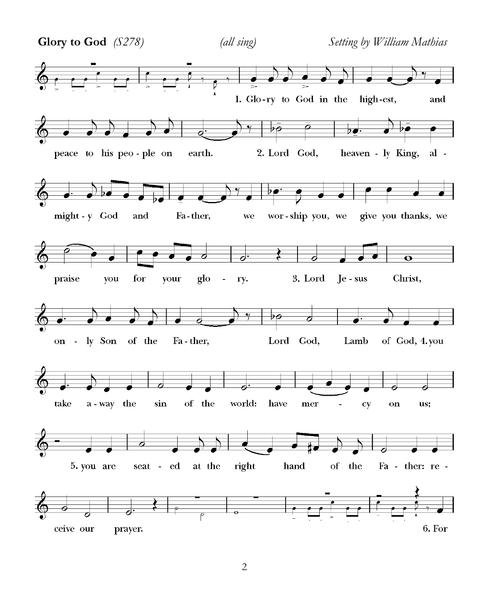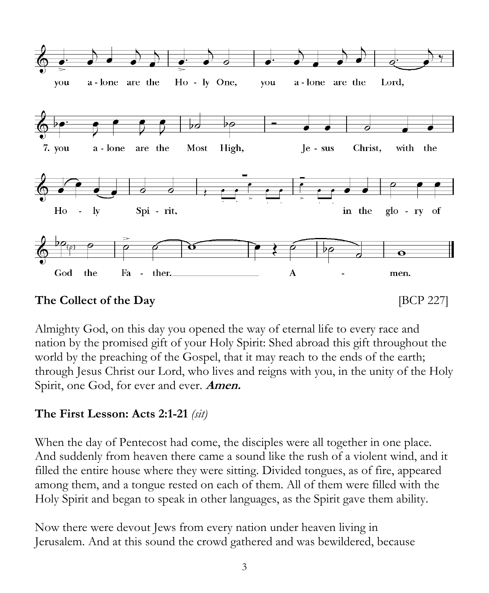

Almighty God, on this day you opened the way of eternal life to every race and nation by the promised gift of your Holy Spirit: Shed abroad this gift throughout the world by the preaching of the Gospel, that it may reach to the ends of the earth; through Jesus Christ our Lord, who lives and reigns with you, in the unity of the Holy Spirit, one God, for ever and ever. **Amen.**

## **The First Lesson: Acts 2:1-21** *(sit)*

When the day of Pentecost had come, the disciples were all together in one place. And suddenly from heaven there came a sound like the rush of a violent wind, and it filled the entire house where they were sitting. Divided tongues, as of fire, appeared among them, and a tongue rested on each of them. All of them were filled with the Holy Spirit and began to speak in other languages, as the Spirit gave them ability.

Now there were devout Jews from every nation under heaven living in Jerusalem. And at this sound the crowd gathered and was bewildered, because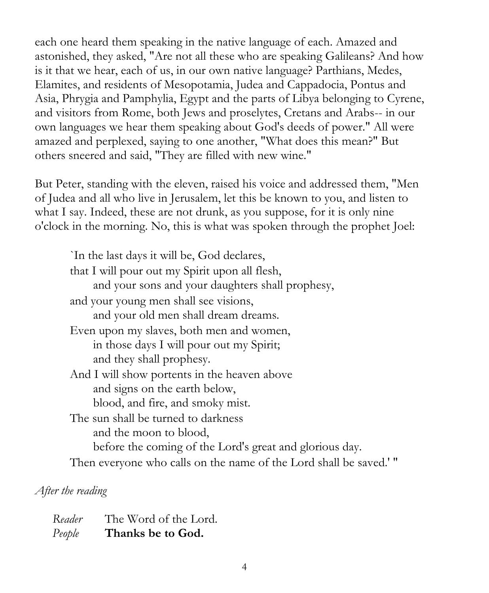each one heard them speaking in the native language of each. Amazed and astonished, they asked, "Are not all these who are speaking Galileans? And how is it that we hear, each of us, in our own native language? Parthians, Medes, Elamites, and residents of Mesopotamia, Judea and Cappadocia, Pontus and Asia, Phrygia and Pamphylia, Egypt and the parts of Libya belonging to Cyrene, and visitors from Rome, both Jews and proselytes, Cretans and Arabs-- in our own languages we hear them speaking about God's deeds of power." All were amazed and perplexed, saying to one another, "What does this mean?" But others sneered and said, "They are filled with new wine."

But Peter, standing with the eleven, raised his voice and addressed them, "Men of Judea and all who live in Jerusalem, let this be known to you, and listen to what I say. Indeed, these are not drunk, as you suppose, for it is only nine o'clock in the morning. No, this is what was spoken through the prophet Joel:

`In the last days it will be, God declares, that I will pour out my Spirit upon all flesh, and your sons and your daughters shall prophesy, and your young men shall see visions, and your old men shall dream dreams. Even upon my slaves, both men and women, in those days I will pour out my Spirit; and they shall prophesy. And I will show portents in the heaven above and signs on the earth below, blood, and fire, and smoky mist. The sun shall be turned to darkness and the moon to blood, before the coming of the Lord's great and glorious day. Then everyone who calls on the name of the Lord shall be saved.' "

*After the reading*

| Reader | The Word of the Lord. |
|--------|-----------------------|
| People | Thanks be to God.     |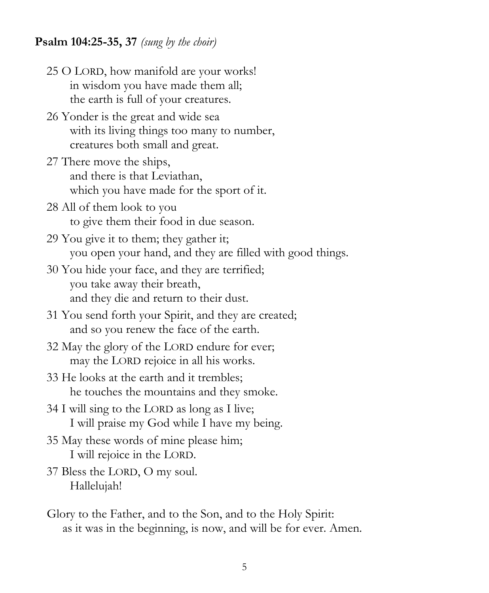#### **Psalm 104:25-35, 37** *(sung by the choir)*

- 25 O LORD, how manifold are your works! in wisdom you have made them all; the earth is full of your creatures.
- 26 Yonder is the great and wide sea with its living things too many to number, creatures both small and great.
- 27 There move the ships, and there is that Leviathan, which you have made for the sport of it.
- 28 All of them look to you to give them their food in due season.
- 29 You give it to them; they gather it; you open your hand, and they are filled with good things.
- 30 You hide your face, and they are terrified; you take away their breath, and they die and return to their dust.
- 31 You send forth your Spirit, and they are created; and so you renew the face of the earth.
- 32 May the glory of the LORD endure for ever; may the LORD rejoice in all his works.
- 33 He looks at the earth and it trembles; he touches the mountains and they smoke.
- 34 I will sing to the LORD as long as I live; I will praise my God while I have my being.
- 35 May these words of mine please him; I will rejoice in the LORD.
- 37 Bless the LORD, O my soul. Hallelujah!
- Glory to the Father, and to the Son, and to the Holy Spirit: as it was in the beginning, is now, and will be for ever. Amen.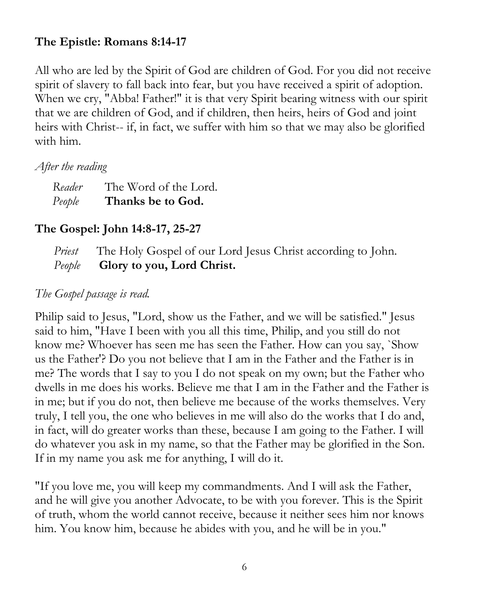## **The Epistle: Romans 8:14-17**

All who are led by the Spirit of God are children of God. For you did not receive spirit of slavery to fall back into fear, but you have received a spirit of adoption. When we cry, "Abba! Father!" it is that very Spirit bearing witness with our spirit that we are children of God, and if children, then heirs, heirs of God and joint heirs with Christ-- if, in fact, we suffer with him so that we may also be glorified with him.

## *After the reading*

| Reader | The Word of the Lord. |
|--------|-----------------------|
| People | Thanks be to God.     |

## **The Gospel: John 14:8-17, 25-27**

 *Priest* The Holy Gospel of our Lord Jesus Christ according to John.  *People* **Glory to you, Lord Christ.**

## *The Gospel passage is read.*

Philip said to Jesus, "Lord, show us the Father, and we will be satisfied." Jesus said to him, "Have I been with you all this time, Philip, and you still do not know me? Whoever has seen me has seen the Father. How can you say, `Show us the Father'? Do you not believe that I am in the Father and the Father is in me? The words that I say to you I do not speak on my own; but the Father who dwells in me does his works. Believe me that I am in the Father and the Father is in me; but if you do not, then believe me because of the works themselves. Very truly, I tell you, the one who believes in me will also do the works that I do and, in fact, will do greater works than these, because I am going to the Father. I will do whatever you ask in my name, so that the Father may be glorified in the Son. If in my name you ask me for anything, I will do it.

"If you love me, you will keep my commandments. And I will ask the Father, and he will give you another Advocate, to be with you forever. This is the Spirit of truth, whom the world cannot receive, because it neither sees him nor knows him. You know him, because he abides with you, and he will be in you."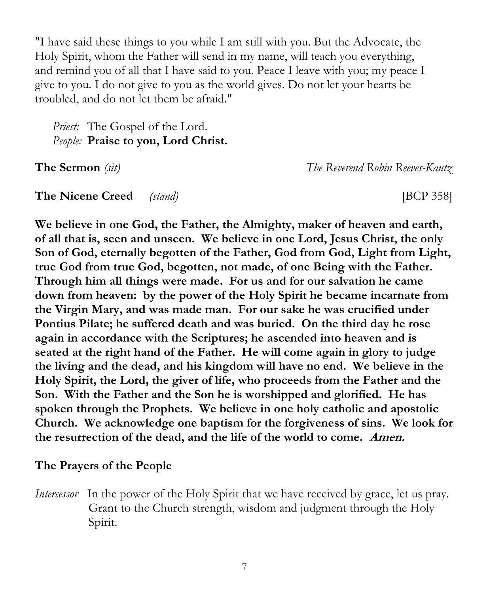"I have said these things to you while I am still with you. But the Advocate, the Holy Spirit, whom the Father will send in my name, will teach you everything, and remind you of all that I have said to you. Peace I leave with you; my peace I give to you. I do not give to you as the world gives. Do not let your hearts be troubled, and do not let them be afraid."

*Priest:* The Gospel of the Lord. *People:* **Praise to you, Lord Christ.**

**The Sermon** *(sit)**The Reverend Robin Reeves-Kautz*

**The Nicene Creed** *(stand)* [BCP 358]

**We believe in one God, the Father, the Almighty, maker of heaven and earth, of all that is, seen and unseen. We believe in one Lord, Jesus Christ, the only Son of God, eternally begotten of the Father, God from God, Light from Light, true God from true God, begotten, not made, of one Being with the Father. Through him all things were made. For us and for our salvation he came down from heaven: by the power of the Holy Spirit he became incarnate from the Virgin Mary, and was made man. For our sake he was crucified under Pontius Pilate; he suffered death and was buried. On the third day he rose again in accordance with the Scriptures; he ascended into heaven and is seated at the right hand of the Father. He will come again in glory to judge the living and the dead, and his kingdom will have no end. We believe in the Holy Spirit, the Lord, the giver of life, who proceeds from the Father and the Son. With the Father and the Son he is worshipped and glorified. He has spoken through the Prophets. We believe in one holy catholic and apostolic Church. We acknowledge one baptism for the forgiveness of sins. We look for the resurrection of the dead, and the life of the world to come. Amen.**

## **The Prayers of the People**

*Intercessor* In the power of the Holy Spirit that we have received by grace, let us pray. Grant to the Church strength, wisdom and judgment through the Holy Spirit.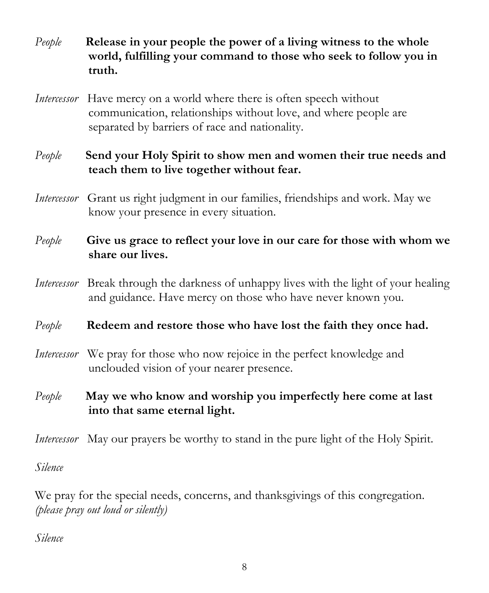- *People* **Release in your people the power of a living witness to the whole world, fulfilling your command to those who seek to follow you in truth.**
- *Intercessor* Have mercy on a world where there is often speech without communication, relationships without love, and where people are separated by barriers of race and nationality.

## *People* **Send your Holy Spirit to show men and women their true needs and teach them to live together without fear.**

*Intercessor* Grant us right judgment in our families, friendships and work. May we know your presence in every situation.

## *People* **Give us grace to reflect your love in our care for those with whom we share our lives.**

*Intercessor* Break through the darkness of unhappy lives with the light of your healing and guidance. Have mercy on those who have never known you.

## *People* **Redeem and restore those who have lost the faith they once had.**

- *Intercessor* We pray for those who now rejoice in the perfect knowledge and unclouded vision of your nearer presence.
- *People* **May we who know and worship you imperfectly here come at last into that same eternal light.**

*Intercessor* May our prayers be worthy to stand in the pure light of the Holy Spirit.

*Silence*

We pray for the special needs, concerns, and thanksgivings of this congregation. *(please pray out loud or silently)*

*Silence*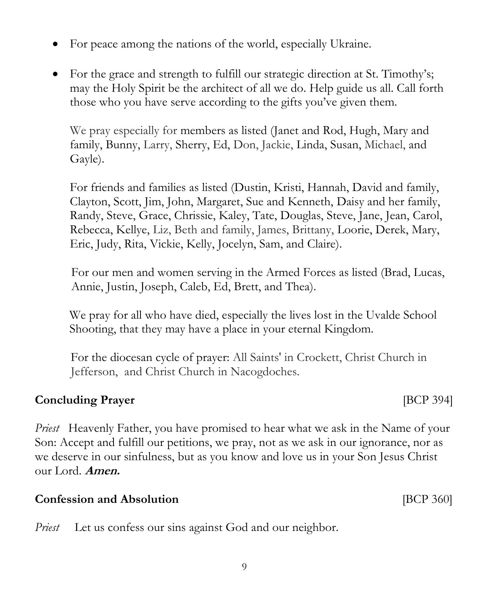**Confession and Absolution** *confession and Absolution BCP 360* 

*Priest* Let us confess our sins against God and our neighbor.

9

- For peace among the nations of the world, especially Ukraine.
- For the grace and strength to fulfill our strategic direction at St. Timothy's; may the Holy Spirit be the architect of all we do. Help guide us all. Call forth those who you have serve according to the gifts you've given them.

We pray especially for members as listed (Janet and Rod, Hugh, Mary and family, Bunny, Larry, Sherry, Ed, Don, Jackie, Linda, Susan, Michael, and Gayle).

For friends and families as listed (Dustin, Kristi, Hannah, David and family, Clayton, Scott, Jim, John, Margaret, Sue and Kenneth, Daisy and her family, Randy, Steve, Grace, Chrissie, Kaley, Tate, Douglas, Steve, Jane, Jean, Carol, Rebecca, Kellye, Liz, Beth and family, James, Brittany, Loorie, Derek, Mary, Eric, Judy, Rita, Vickie, Kelly, Jocelyn, Sam, and Claire).

 For our men and women serving in the Armed Forces as listed (Brad, Lucas, Annie, Justin, Joseph, Caleb, Ed, Brett, and Thea).

 We pray for all who have died, especially the lives lost in the Uvalde School Shooting, that they may have a place in your eternal Kingdom.

 For the diocesan cycle of prayer: All Saints' in Crockett, Christ Church in Jefferson, and Christ Church in Nacogdoches.

## **Concluding Prayer Concluding Prayer**

*Priest* Heavenly Father, you have promised to hear what we ask in the Name of your Son: Accept and fulfill our petitions, we pray, not as we ask in our ignorance, nor as we deserve in our sinfulness, but as you know and love us in your Son Jesus Christ our Lord. **Amen.**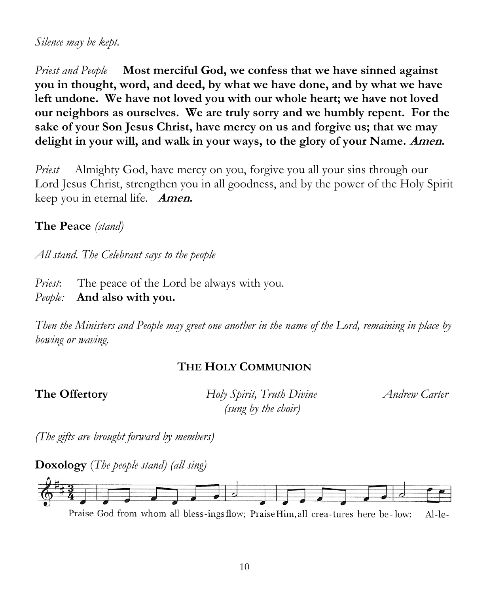#### *Silence may be kept.*

*Priest and People* **Most merciful God, we confess that we have sinned against you in thought, word, and deed, by what we have done, and by what we have left undone. We have not loved you with our whole heart; we have not loved our neighbors as ourselves. We are truly sorry and we humbly repent. For the sake of your Son Jesus Christ, have mercy on us and forgive us; that we may delight in your will, and walk in your ways, to the glory of your Name. Amen.**

*Priest* Almighty God, have mercy on you, forgive you all your sins through our Lord Jesus Christ, strengthen you in all goodness, and by the power of the Holy Spirit keep you in eternal life. **Amen.**

**The Peace** *(stand)* 

*All stand. The Celebrant says to the people*

*Priest*: The peace of the Lord be always with you.

*People:* **And also with you.**

*Then the Ministers and People may greet one another in the name of the Lord, remaining in place by bowing or waving.*

## **THE HOLY COMMUNION**

**The Offertory** *<i>Holy Spirit, Truth Divine <i>Andrew Carter (sung by the choir)*

*(The gifts are brought forward by members)*

**Doxology** (*The people stand) (all sing)*



Praise God from whom all bless-ings flow; Praise Him, all crea-tures here be-low:  $Al-le-$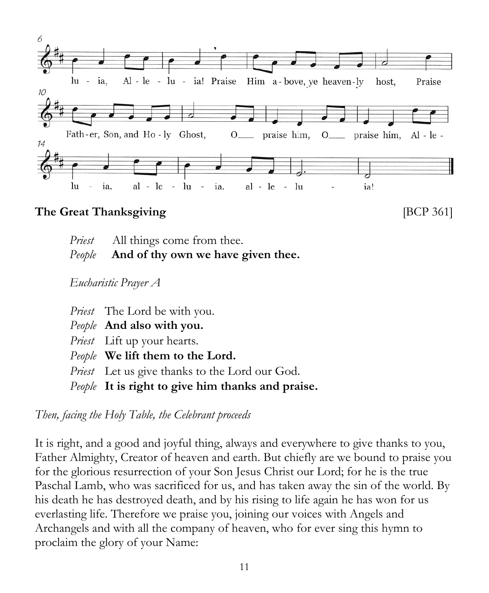

## **The Great Thanksgiving**  [BCP 361]

| <i>Priest</i> All things come from thee.  |
|-------------------------------------------|
| People And of thy own we have given thee. |

*Eucharistic Prayer A*

*Priest* The Lord be with you. *People* **And also with you.** *Priest* Lift up your hearts. *People* **We lift them to the Lord.** *Priest* Let us give thanks to the Lord our God. *People* **It is right to give him thanks and praise.**

*Then, facing the Holy Table, the Celebrant proceeds*

It is right, and a good and joyful thing, always and everywhere to give thanks to you, Father Almighty, Creator of heaven and earth. But chiefly are we bound to praise you for the glorious resurrection of your Son Jesus Christ our Lord; for he is the true Paschal Lamb, who was sacrificed for us, and has taken away the sin of the world. By his death he has destroyed death, and by his rising to life again he has won for us everlasting life. Therefore we praise you, joining our voices with Angels and Archangels and with all the company of heaven, who for ever sing this hymn to proclaim the glory of your Name: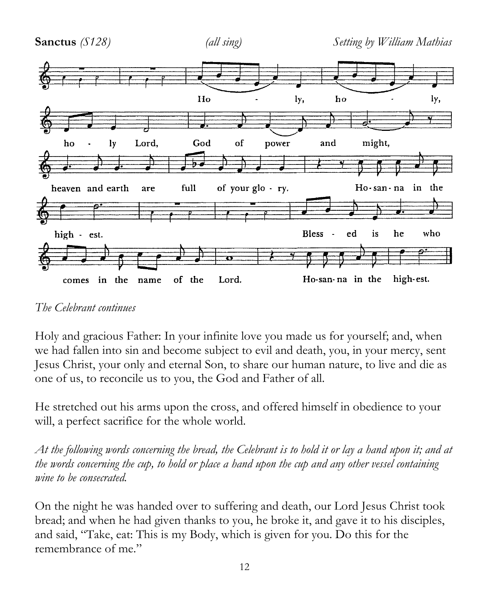

*The Celebrant continues*

Holy and gracious Father: In your infinite love you made us for yourself; and, when we had fallen into sin and become subject to evil and death, you, in your mercy, sent Jesus Christ, your only and eternal Son, to share our human nature, to live and die as one of us, to reconcile us to you, the God and Father of all.

He stretched out his arms upon the cross, and offered himself in obedience to your will, a perfect sacrifice for the whole world.

*At the following words concerning the bread, the Celebrant is to hold it or lay a hand upon it; and at the words concerning the cup, to hold or place a hand upon the cup and any other vessel containing wine to be consecrated.*

On the night he was handed over to suffering and death, our Lord Jesus Christ took bread; and when he had given thanks to you, he broke it, and gave it to his disciples, and said, "Take, eat: This is my Body, which is given for you. Do this for the remembrance of me."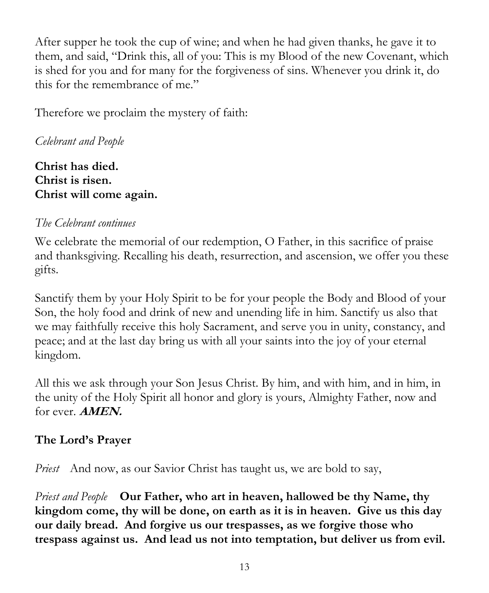After supper he took the cup of wine; and when he had given thanks, he gave it to them, and said, "Drink this, all of you: This is my Blood of the new Covenant, which is shed for you and for many for the forgiveness of sins. Whenever you drink it, do this for the remembrance of me."

Therefore we proclaim the mystery of faith:

## *Celebrant and People*

**Christ has died. Christ is risen. Christ will come again.**

## *The Celebrant continues*

We celebrate the memorial of our redemption, O Father, in this sacrifice of praise and thanksgiving. Recalling his death, resurrection, and ascension, we offer you these gifts.

Sanctify them by your Holy Spirit to be for your people the Body and Blood of your Son, the holy food and drink of new and unending life in him. Sanctify us also that we may faithfully receive this holy Sacrament, and serve you in unity, constancy, and peace; and at the last day bring us with all your saints into the joy of your eternal kingdom.

All this we ask through your Son Jesus Christ. By him, and with him, and in him, in the unity of the Holy Spirit all honor and glory is yours, Almighty Father, now and for ever. **AMEN.**

## **The Lord's Prayer**

*Priest* And now, as our Savior Christ has taught us, we are bold to say,

*Priest and People* **Our Father, who art in heaven, hallowed be thy Name, thy kingdom come, thy will be done, on earth as it is in heaven. Give us this day our daily bread. And forgive us our trespasses, as we forgive those who trespass against us. And lead us not into temptation, but deliver us from evil.**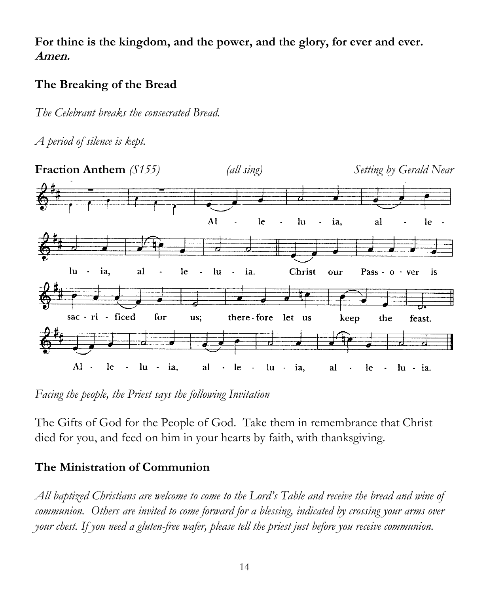**For thine is the kingdom, and the power, and the glory, for ever and ever. Amen.**

## **The Breaking of the Bread**

*The Celebrant breaks the consecrated Bread.*

*A period of silence is kept.* 



*Facing the people, the Priest says the following Invitation*

The Gifts of God for the People of God. Take them in remembrance that Christ died for you, and feed on him in your hearts by faith, with thanksgiving.

## **The Ministration of Communion**

*All baptized Christians are welcome to come to the Lord's Table and receive the bread and wine of communion. Others are invited to come forward for a blessing, indicated by crossing your arms over your chest. If you need a gluten-free wafer, please tell the priest just before you receive communion.*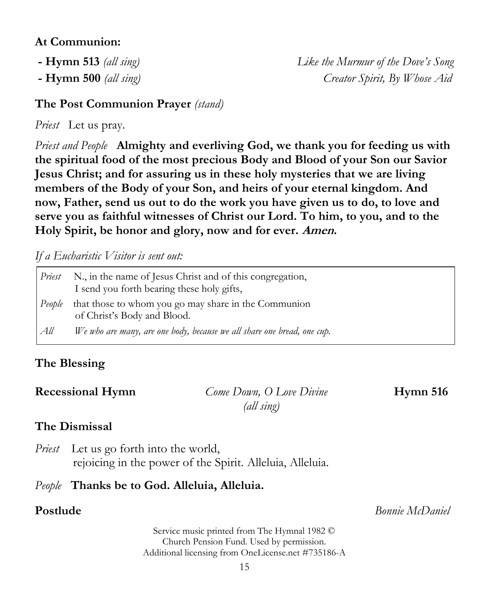#### **At Communion:**

- 
- 

**- Hymn 513** *(all sing) Like the Murmur of the Dove's Song* **- Hymn 500** *(all sing) Creator Spirit, By Whose Aid*

#### **The Post Communion Prayer** *(stand)*

*Priest* Let us pray.

*Priest and People* **Almighty and everliving God, we thank you for feeding us with the spiritual food of the most precious Body and Blood of your Son our Savior Jesus Christ; and for assuring us in these holy mysteries that we are living members of the Body of your Son, and heirs of your eternal kingdom. And now, Father, send us out to do the work you have given us to do, to love and serve you as faithful witnesses of Christ our Lord. To him, to you, and to the Holy Spirit, be honor and glory, now and for ever. Amen.**

*If a Eucharistic Visitor is sent out:*

| Priest | N., in the name of Jesus Christ and of this congregation,<br>I send you forth bearing these holy gifts, |
|--------|---------------------------------------------------------------------------------------------------------|
| People | that those to whom you go may share in the Communion<br>of Christ's Body and Blood.                     |
| All    | We who are many, are one body, because we all share one bread, one cup.                                 |

## **The Blessing**

**Recessional Hymn** *Come Down, O Love Divine* **Hymn 516**  *(all sing)*

## **The Dismissal**

*Priest* Let us go forth into the world, rejoicing in the power of the Spirit. Alleluia, Alleluia.

### *People* **Thanks be to God. Alleluia, Alleluia.**

**Postlude** *Bonnie McDaniel*

Service music printed from The Hymnal 1982 © Church Pension Fund. Used by permission. Additional licensing from OneLicense.net #735186-A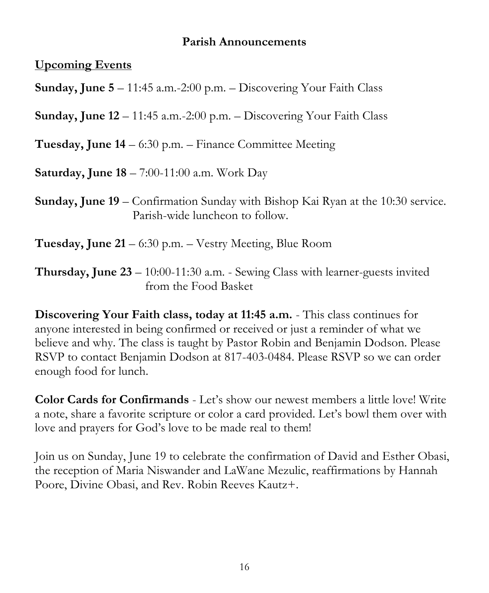#### **Parish Announcements**

**Upcoming Events**

**Sunday, June 5** – 11:45 a.m.-2:00 p.m. – Discovering Your Faith Class

**Sunday, June 12** – 11:45 a.m.-2:00 p.m. – Discovering Your Faith Class

**Tuesday, June 14** – 6:30 p.m. – Finance Committee Meeting

**Saturday, June 18** – 7:00-11:00 a.m. Work Day

**Sunday, June 19** – Confirmation Sunday with Bishop Kai Ryan at the 10:30 service. Parish-wide luncheon to follow.

**Tuesday, June 21** – 6:30 p.m. – Vestry Meeting, Blue Room

**Thursday, June 23** – 10:00-11:30 a.m. - Sewing Class with learner-guests invited from the Food Basket

**Discovering Your Faith class, today at 11:45 a.m.** - This class continues for anyone interested in being confirmed or received or just a reminder of what we believe and why. The class is taught by Pastor Robin and Benjamin Dodson. Please RSVP to contact Benjamin Dodson at 817-403-0484. Please RSVP so we can order enough food for lunch.

**Color Cards for Confirmands** - Let's show our newest members a little love! Write a note, share a favorite scripture or color a card provided. Let's bowl them over with love and prayers for God's love to be made real to them!

Join us on Sunday, June 19 to celebrate the confirmation of David and Esther Obasi, the reception of Maria Niswander and LaWane Mezulic, reaffirmations by Hannah Poore, Divine Obasi, and Rev. Robin Reeves Kautz+.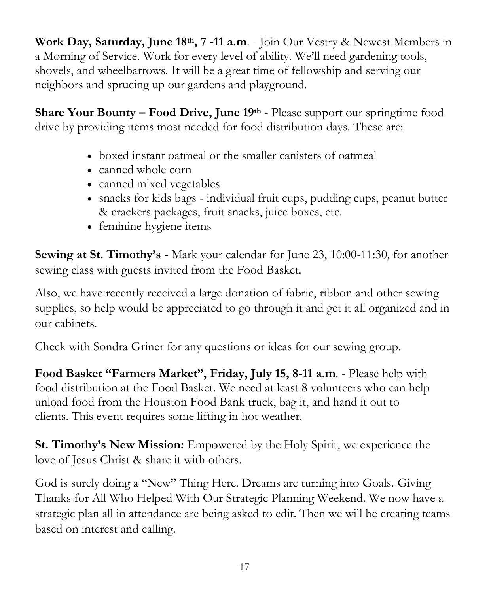**Work Day, Saturday, June 18th, 7 -11 a.m**. - Join Our Vestry & Newest Members in a Morning of Service. Work for every level of ability. We'll need gardening tools, shovels, and wheelbarrows. It will be a great time of fellowship and serving our neighbors and sprucing up our gardens and playground.

**Share Your Bounty – Food Drive, June 19th** - Please support our springtime food drive by providing items most needed for food distribution days. These are:

- boxed instant oatmeal or the smaller canisters of oatmeal
- canned whole corn
- canned mixed vegetables
- snacks for kids bags individual fruit cups, pudding cups, peanut butter & crackers packages, fruit snacks, juice boxes, etc.
- feminine hygiene items

**Sewing at St. Timothy's -** Mark your calendar for June 23, 10:00-11:30, for another sewing class with guests invited from the Food Basket.

Also, we have recently received a large donation of fabric, ribbon and other sewing supplies, so help would be appreciated to go through it and get it all organized and in our cabinets.

Check with Sondra Griner for any questions or ideas for our sewing group.

**Food Basket "Farmers Market", Friday, July 15, 8-11 a.m**. - Please help with food distribution at the Food Basket. We need at least 8 volunteers who can help unload food from the Houston Food Bank truck, bag it, and hand it out to clients. This event requires some lifting in hot weather.

**St. Timothy's New Mission:** Empowered by the Holy Spirit, we experience the love of Jesus Christ & share it with others.

God is surely doing a "New" Thing Here. Dreams are turning into Goals. Giving Thanks for All Who Helped With Our Strategic Planning Weekend. We now have a strategic plan all in attendance are being asked to edit. Then we will be creating teams based on interest and calling.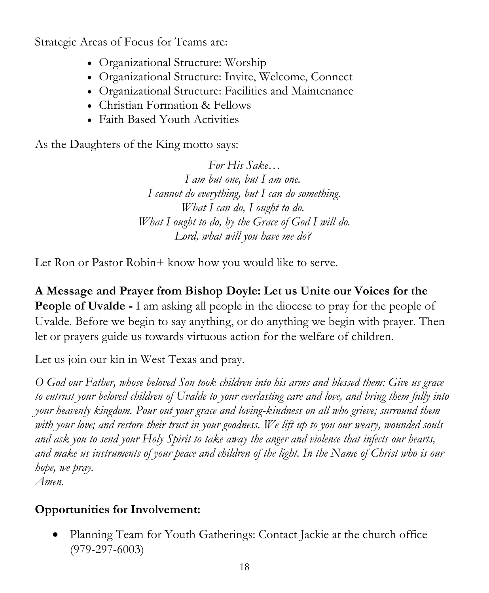Strategic Areas of Focus for Teams are:

- Organizational Structure: Worship
- Organizational Structure: Invite, Welcome, Connect
- Organizational Structure: Facilities and Maintenance
- Christian Formation & Fellows
- Faith Based Youth Activities

As the Daughters of the King motto says:

*For His Sake… I am but one, but I am one. I cannot do everything, but I can do something. What I can do, I ought to do. What I ought to do, by the Grace of God I will do. Lord, what will you have me do?*

Let Ron or Pastor Robin+ know how you would like to serve.

**A Message and Prayer from Bishop Doyle: Let us Unite our Voices for the People of Uvalde -** I am asking all people in the diocese to pray for the people of Uvalde. Before we begin to say anything, or do anything we begin with prayer. Then let or prayers guide us towards virtuous action for the welfare of children.

Let us join our kin in West Texas and pray.

*O God our Father, whose beloved Son took children into his arms and blessed them: Give us grace to entrust your beloved children of Uvalde to your everlasting care and love, and bring them fully into your heavenly kingdom. Pour out your grace and loving-kindness on all who grieve; surround them with your love; and restore their trust in your goodness. We lift up to you our weary, wounded souls and ask you to send your Holy Spirit to take away the anger and violence that infects our hearts, and make us instruments of your peace and children of the light. In the Name of Christ who is our hope, we pray.* 

*Amen.*

## **Opportunities for Involvement:**

• Planning Team for Youth Gatherings: Contact Jackie at the church office (979-297-6003)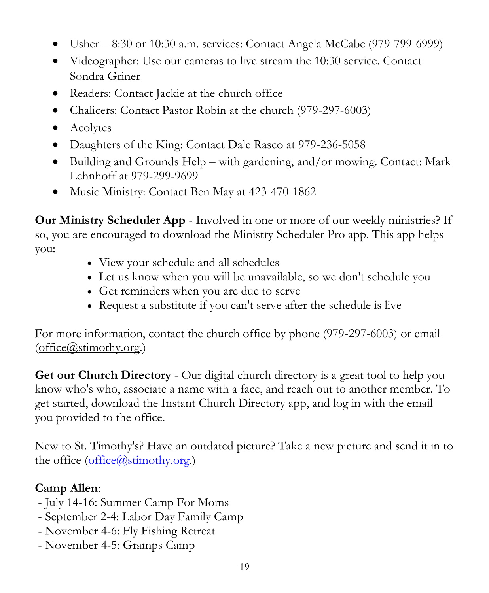- Usher  $-8:30$  or 10:30 a.m. services: Contact Angela McCabe (979-799-6999)
- Videographer: Use our cameras to live stream the 10:30 service. Contact Sondra Griner
- Readers: Contact Jackie at the church office
- Chalicers: Contact Pastor Robin at the church (979-297-6003)
- Acolytes
- Daughters of the King: Contact Dale Rasco at 979-236-5058
- Building and Grounds Help with gardening, and/or mowing. Contact: Mark Lehnhoff at 979-299-9699
- Music Ministry: Contact Ben May at 423-470-1862

**Our Ministry Scheduler App** - Involved in one or more of our weekly ministries? If so, you are encouraged to download the Ministry Scheduler Pro app. This app helps you:

- View your schedule and all schedules
- Let us know when you will be unavailable, so we don't schedule you
- Get reminders when you are due to serve
- Request a substitute if you can't serve after the schedule is live

For more information, contact the church office by phone (979-297-6003) or email [\(office@stimothy.org.](mailto:office@stimothy.org))

**Get our Church Directory** - Our digital church directory is a great tool to help you know who's who, associate a name with a face, and reach out to another member. To get started, download the Instant Church Directory app, and log in with the email you provided to the office.

New to St. Timothy's? Have an outdated picture? Take a new picture and send it in to the office [\(office@stimothy.org.](mailto:office@stimothy.org))

## **Camp Allen**:

- July 14-16: Summer Camp For Moms
- September 2-4: Labor Day Family Camp
- November 4-6: Fly Fishing Retreat
- November 4-5: Gramps Camp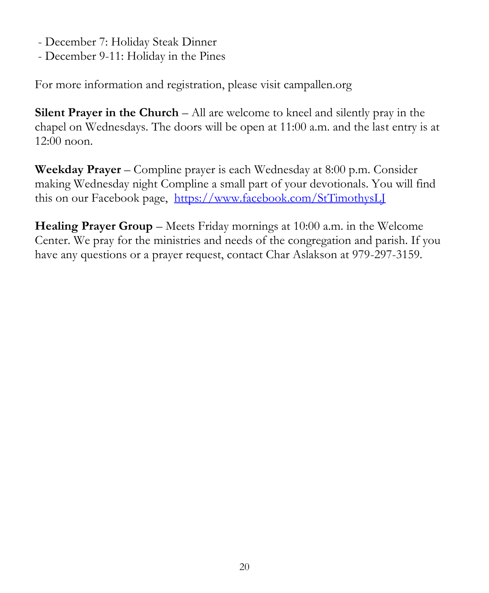- December 7: Holiday Steak Dinner
- December 9-11: Holiday in the Pines

For more information and registration, please visit campallen.org

**Silent Prayer in the Church** – All are welcome to kneel and silently pray in the chapel on Wednesdays. The doors will be open at 11:00 a.m. and the last entry is at 12:00 noon.

**Weekday Prayer** – Compline prayer is each Wednesday at 8:00 p.m. Consider making Wednesday night Compline a small part of your devotionals. You will find this on our Facebook page, <https://www.facebook.com/StTimothysLJ>

**Healing Prayer Group** – Meets Friday mornings at 10:00 a.m. in the Welcome Center. We pray for the ministries and needs of the congregation and parish. If you have any questions or a prayer request, contact Char Aslakson at 979-297-3159.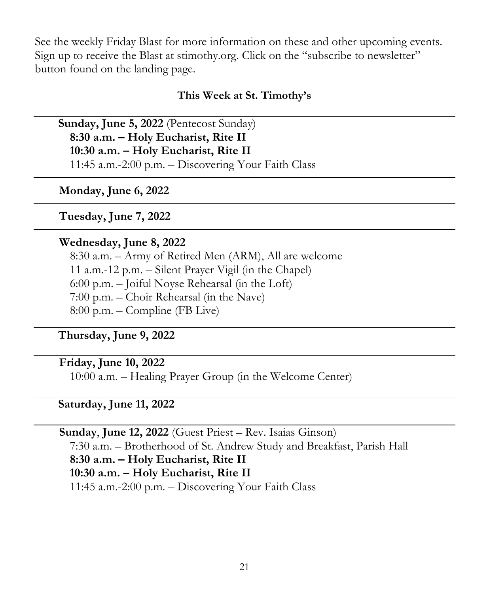See the weekly Friday Blast for more information on these and other upcoming events. Sign up to receive the Blast at stimothy.org. Click on the "subscribe to newsletter" button found on the landing page.

#### **This Week at St. Timothy's**

 **Sunday, June 5, 2022** (Pentecost Sunday) **8:30 a.m. – Holy Eucharist, Rite II 10:30 a.m. – Holy Eucharist, Rite II** 11:45 a.m.-2:00 p.m. – Discovering Your Faith Class

**Monday, June 6, 2022**

 **Tuesday, June 7, 2022**

#### **Wednesday, June 8, 2022**

8:30 a.m. – Army of Retired Men (ARM), All are welcome 11 a.m.-12 p.m. – Silent Prayer Vigil (in the Chapel) 6:00 p.m. – Joiful Noyse Rehearsal (in the Loft) 7:00 p.m. – Choir Rehearsal (in the Nave) 8:00 p.m. – Compline (FB Live)

 **Thursday, June 9, 2022**

#### **Friday, June 10, 2022**

10:00 a.m. – Healing Prayer Group (in the Welcome Center)

#### **Saturday, June 11, 2022**

 **Sunday**, **June 12, 2022** (Guest Priest – Rev. Isaias Ginson) 7:30 a.m. – Brotherhood of St. Andrew Study and Breakfast, Parish Hall **8:30 a.m. – Holy Eucharist, Rite II 10:30 a.m. – Holy Eucharist, Rite II**  11:45 a.m.-2:00 p.m. – Discovering Your Faith Class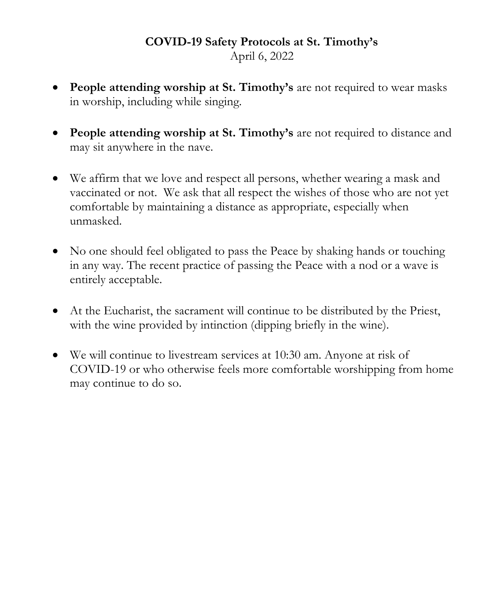### **COVID-19 Safety Protocols at St. Timothy's** April 6, 2022

- **People attending worship at St. Timothy's** are not required to wear masks in worship, including while singing.
- **People attending worship at St. Timothy's** are not required to distance and may sit anywhere in the nave.
- We affirm that we love and respect all persons, whether wearing a mask and vaccinated or not. We ask that all respect the wishes of those who are not yet comfortable by maintaining a distance as appropriate, especially when unmasked.
- No one should feel obligated to pass the Peace by shaking hands or touching in any way. The recent practice of passing the Peace with a nod or a wave is entirely acceptable.
- At the Eucharist, the sacrament will continue to be distributed by the Priest, with the wine provided by intinction (dipping briefly in the wine).
- We will continue to livestream services at 10:30 am. Anyone at risk of COVID-19 or who otherwise feels more comfortable worshipping from home may continue to do so.